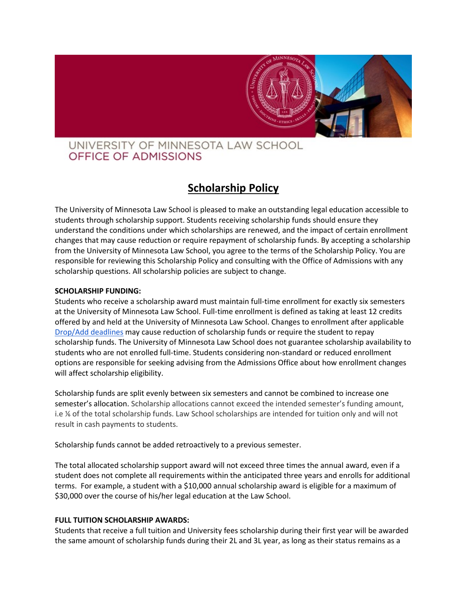

# UNIVERSITY OF MINNESOTA LAW SCHOOL OFFICE OF ADMISSIONS

# **Scholarship Policy**

The University of Minnesota Law School is pleased to make an outstanding legal education accessible to students through scholarship support. Students receiving scholarship funds should ensure they understand the conditions under which scholarships are renewed, and the impact of certain enrollment changes that may cause reduction or require repayment of scholarship funds. By accepting a scholarship from the University of Minnesota Law School, you agree to the terms of the Scholarship Policy. You are responsible for reviewing this Scholarship Policy and consulting with the Office of Admissions with any scholarship questions. All scholarship policies are subject to change.

# **SCHOLARSHIP FUNDING:**

Students who receive a scholarship award must maintain full-time enrollment for exactly six semesters at the University of Minnesota Law School. Full-time enrollment is defined as taking at least 12 credits offered by and held at the University of Minnesota Law School. Changes to enrollment after applicabl[e](https://www.law.umn.edu/current-students/registration-services/refund-dropadd-deadlines) [Drop/Add deadlines](https://www.law.umn.edu/current-students/registration-services/refund-dropadd-deadlines) may cause reduction of scholarship funds or require the student to repay scholarship funds. The University of Minnesota Law School does not guarantee scholarship availability to students who are not enrolled full-time. Students considering non-standard or reduced enrollment options are responsible for seeking advising from the Admissions Office about how enrollment changes will affect scholarship eligibility.

Scholarship funds are split evenly between six semesters and cannot be combined to increase one semester's allocation. Scholarship allocations cannot exceed the intended semester's funding amount, i.e % of the total scholarship funds. Law School scholarships are intended for tuition only and will not result in cash payments to students.

Scholarship funds cannot be added retroactively to a previous semester.

The total allocated scholarship support award will not exceed three times the annual award, even if a student does not complete all requirements within the anticipated three years and enrolls for additional terms. For example, a student with a \$10,000 annual scholarship award is eligible for a maximum of \$30,000 over the course of his/her legal education at the Law School.

# **FULL TUITION SCHOLARSHIP AWARDS:**

Students that receive a full tuition and University fees scholarship during their first year will be awarded the same amount of scholarship funds during their 2L and 3L year, as long as their status remains as a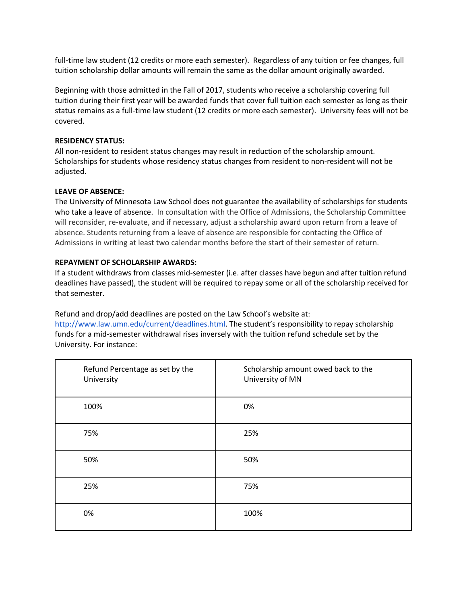full-time law student (12 credits or more each semester). Regardless of any tuition or fee changes, full tuition scholarship dollar amounts will remain the same as the dollar amount originally awarded.

Beginning with those admitted in the Fall of 2017, students who receive a scholarship covering full tuition during their first year will be awarded funds that cover full tuition each semester as long as their status remains as a full-time law student (12 credits or more each semester). University fees will not be covered.

# **RESIDENCY STATUS:**

All non-resident to resident status changes may result in reduction of the scholarship amount. Scholarships for students whose residency status changes from resident to non-resident will not be adjusted.

# **LEAVE OF ABSENCE:**

The University of Minnesota Law School does not guarantee the availability of scholarships for students who take a leave of absence. In consultation with the Office of Admissions, the Scholarship Committee will reconsider, re-evaluate, and if necessary, adjust a scholarship award upon return from a leave of absence. Students returning from a leave of absence are responsible for contacting the Office of Admissions in writing at least two calendar months before the start of their semester of return.

# **REPAYMENT OF SCHOLARSHIP AWARDS:**

If a student withdraws from classes mid-semester (i.e. after classes have begun and after tuition refund deadlines have passed), the student will be required to repay some or all of the scholarship received for that semester.

# Refund and drop/add deadlines are posted on the Law School's website at[:](http://www.law.umn.edu/current/deadlines.html)

<http://www.law.umn.edu/current/deadlines.html>. The student's responsibility to repay scholarship funds for a mid-semester withdrawal rises inversely with the tuition refund schedule set by the University. For instance:

| Refund Percentage as set by the<br>University | Scholarship amount owed back to the<br>University of MN |
|-----------------------------------------------|---------------------------------------------------------|
| 100%                                          | 0%                                                      |
| 75%                                           | 25%                                                     |
| 50%                                           | 50%                                                     |
| 25%                                           | 75%                                                     |
| 0%                                            | 100%                                                    |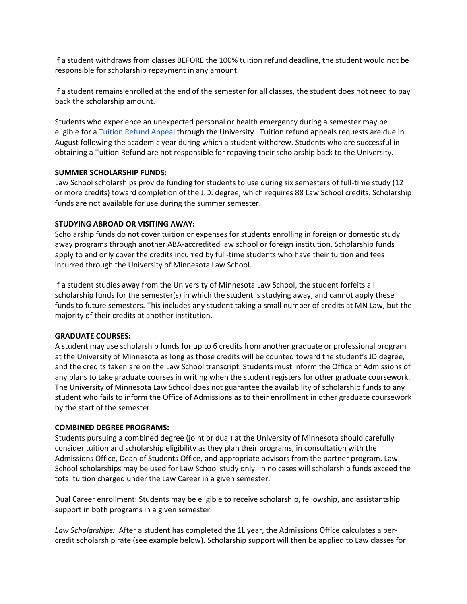If a student withdraws from classes BEFORE the 100% tuition refund deadline, the student would not be responsible for scholarship repayment in any amount.

If a student remains enrolled at the end of the semester for all classes, the student does not need to pay back the scholarship amount.

Students who experience an unexpected personal or health emergency during a semester may be eligible for a [Tuition Refund Appeal](http://onestop.umn.edu/finances/student_account/refunds/appeal.html) through the University. Tuition refund appeals requests are due in August following the academic year during which a student withdrew. Students who are successful in obtaining a Tuition Refund are not responsible for repaying their scholarship back to the University.

# **SUMMER SCHOLARSHIP FUNDS:**

Law School scholarships provide funding for students to use during six semesters of full-time study (12 or more credits) toward completion of the J.D. degree, which requires 88 Law School credits. Scholarship funds are not available for use during the summer semester.

# **STUDYING ABROAD OR VISITING AWAY:**

Scholarship funds do not cover tuition or expenses for students enrolling in foreign or domestic study away programs through another ABA-accredited law school or foreign institution. Scholarship funds apply to and only cover the credits incurred by full-time students who have their tuition and fees incurred through the University of Minnesota Law School.

If a student studies away from the University of Minnesota Law School, the student forfeits all scholarship funds for the semester(s) in which the student is studying away, and cannot apply these funds to future semesters. This includes any student taking a small number of credits at MN Law, but the majority of their credits at another institution.

#### **GRADUATE COURSES:**

A student may use scholarship funds for up to 6 credits from another graduate or professional program at the University of Minnesota as long as those credits will be counted toward the student's JD degree, and the credits taken are on the Law School transcript. Students must inform the Office of Admissions of any plans to take graduate courses in writing when the student registers for other graduate coursework. The University of Minnesota Law School does not guarantee the availability of scholarship funds to any student who fails to inform the Office of Admissions as to their enrollment in other graduate coursework by the start of the semester.

# **COMBINED DEGREE PROGRAMS:**

Students pursuing a combined degree (joint or dual) at the University of Minnesota should carefully consider tuition and scholarship eligibility as they plan their programs, in consultation with the Admissions Office, Dean of Students Office, and appropriate advisors from the partner program. Law School scholarships may be used for Law School study only. In no cases will scholarship funds exceed the total tuition charged under the Law Career in a given semester.

Dual Career enrollment: Students may be eligible to receive scholarship, fellowship, and assistantship support in both programs in a given semester.

*Law Scholarships:* After a student has completed the 1L year, the Admissions Office calculates a percredit scholarship rate (see example below). Scholarship support will then be applied to Law classes for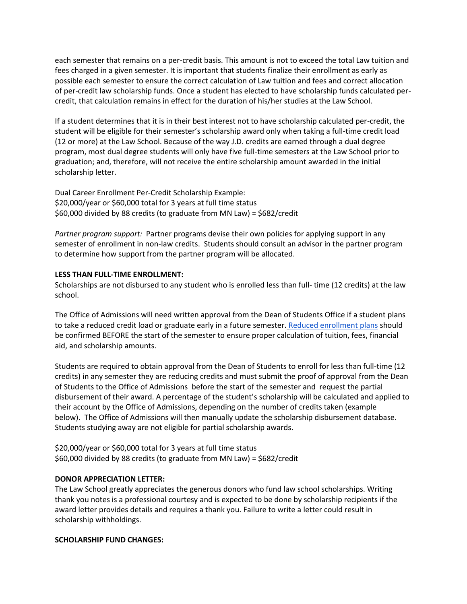each semester that remains on a per-credit basis. This amount is not to exceed the total Law tuition and fees charged in a given semester. It is important that students finalize their enrollment as early as possible each semester to ensure the correct calculation of Law tuition and fees and correct allocation of per-credit law scholarship funds. Once a student has elected to have scholarship funds calculated percredit, that calculation remains in effect for the duration of his/her studies at the Law School.

If a student determines that it is in their best interest not to have scholarship calculated per-credit, the student will be eligible for their semester's scholarship award only when taking a full-time credit load (12 or more) at the Law School. Because of the way J.D. credits are earned through a dual degree program, most dual degree students will only have five full-time semesters at the Law School prior to graduation; and, therefore, will not receive the entire scholarship amount awarded in the initial scholarship letter.

Dual Career Enrollment Per-Credit Scholarship Example: \$20,000/year or \$60,000 total for 3 years at full time status \$60,000 divided by 88 credits (to graduate from MN Law) = \$682/credit

*Partner program support:* Partner programs devise their own policies for applying support in any semester of enrollment in non-law credits. Students should consult an advisor in the partner program to determine how support from the partner program will be allocated.

# **LESS THAN FULL-TIME ENROLLMENT:**

Scholarships are not disbursed to any student who is enrolled less than full- time (12 credits) at the law school.

The Office of Admissions will need written approval from the Dean of Students Office if a student plans to take a reduced credit load or graduate early in a future semester. [Reduced enrollment plans](https://www.law.umn.edu/current-students/academic-resources/student-forms) should be confirmed BEFORE the start of the semester to ensure proper calculation of tuition, fees, financial aid, and scholarship amounts.

Students are required to obtain approval from the Dean of Students to enroll for less than full-time (12 credits) in any semester they are reducing credits and must submit the proof of approval from the Dean of Students to the Office of Admissions before the start of the semester and request the partial disbursement of their award. A percentage of the student's scholarship will be calculated and applied to their account by the Office of Admissions, depending on the number of credits taken (example below). The Office of Admissions will then manually update the scholarship disbursement database. Students studying away are not eligible for partial scholarship awards.

\$20,000/year or \$60,000 total for 3 years at full time status \$60,000 divided by 88 credits (to graduate from MN Law) = \$682/credit

# **DONOR APPRECIATION LETTER:**

The Law School greatly appreciates the generous donors who fund law school scholarships. Writing thank you notes is a professional courtesy and is expected to be done by scholarship recipients if the award letter provides details and requires a thank you. Failure to write a letter could result in scholarship withholdings.

# **SCHOLARSHIP FUND CHANGES:**